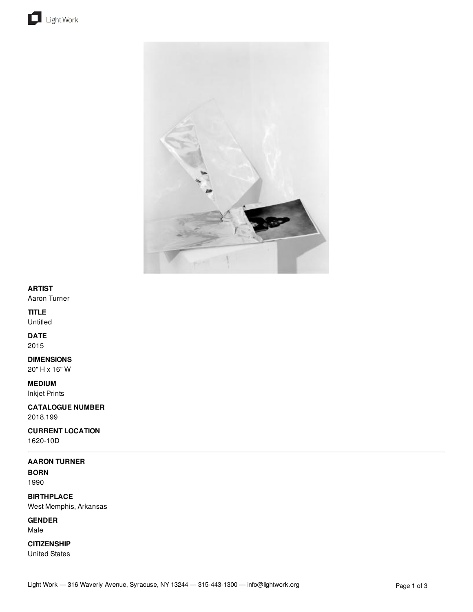



## **ARTIST**

Aaron Turner

## **TITLE**

Untitled

## **DATE**

2015

## **DIMENSIONS**

20" H x 16" W

## **MEDIUM**

Inkjet Prints

**CATALOGUE NUMBER** 2018.199

# **CURRENT LOCATION**

1620-10D

## **AARON TURNER**

**BORN** 1990

**BIRTHPLACE** West Memphis, Arkansas

**GENDER** Male

**CITIZENSHIP**

United States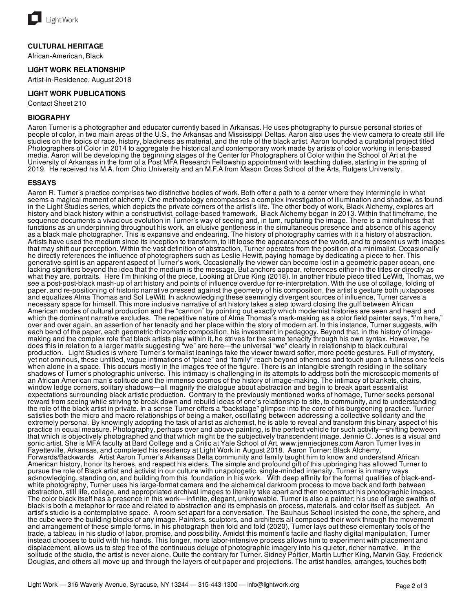

#### **CULTURAL HERITAGE**

African-American, Black

#### **LIGHT WORK RELATIONSHIP**

Artist-in-Residence, August 2018

#### **LIGHT WORK PUBLICATIONS**

Contact Sheet 210

#### **BIOGRAPHY**

Aaron Turner is a photographer and educator currently based in Arkansas. He uses photography to pursue personal stories of people of color, in two main areas of the U.S., the Arkansas and Mississippi Deltas. Aaron also uses the view camera to create still life studies on the topics of race, history, blackness as material, and the role of the black artist. Aaron founded a curatorial project titled Photographers of Color in 2014 to aggregate the historical and contemporary work made by artists of color working in lens-based media. Aaron will be developing the beginning stages of the Center for Photographers of Color within the School of Art at the University of Arkansas in the form of a Post MFA Research Fellowship appointment with teaching duties, starting in the spring of 2019. He received his M.A. from Ohio University and an M.F.A from Mason Gross School of the Arts, Rutgers University.

#### **ESSAYS**

Aaron R. Turner's practice comprises two distinctive bodies of work. Both offer a path to a center where they intermingle in what seems a magical moment of alchemy. One methodology encompasses a complex investigation of illumination and shadow, as found in the Light Studies series, which depicts the private corners of the artist's life. The other body of work, Black Alchemy, explores art history and black history within a constructivist, collage-based framework. Black Alchemy began in 2013. Within that timeframe, the sequence documents a vivacious evolution in Turner's way of seeing and, in turn, rupturing the image. There is a mindfulness that functions as an underpinning throughout his work, an elusive gentleness in the simultaneous presence and absence of his agency as a black male photographer. This is expansive and endearing. The history of photography carries with it a history of abstraction. Artists have used the medium since its inception to transform, to lift loose the appearances of the world, and to present us with images that may shift our perception. Within the vast definition of abstraction, Turner operates from the position of a minimalist. Occasionally he directly references the influence of photographers such as Leslie Hewitt, paying homage by dedicating a piece to her. This generative spirit is an apparent aspect of Turner's work. Occasionally the viewer can become lost in a geometric paper ocean, one lacking signifiers beyond the idea that the medium is the message. But anchors appear, references either in the titles or directly as what they are, portraits. Here I'm thinking of the piece, Looking at Drue King (2018). In another tribute piece titled LeWitt, Thomas, we see a post-post-black mash-up of art history and points of influence overdue for re-interpretation. With the use of collage, folding of paper, and re-positioning of historic narrative pressed against the geometry of his composition, the artist's gesture both juxtaposes and equalizes Alma Thomas and Sol LeWitt. In acknowledging these seemingly divergent sources of influence, Turner carves a necessary space for himself. This more inclusive narrative of art history takes a step toward closing the gulf between African American modes of cultural production and the "cannon" by pointing out exactly which modernist histories are seen and heard and which the dominant narrative excludes. The repetitive nature of Alma Thomas's mark-making as a color field painter says, "I'm here," over and over again, an assertion of her tenacity and her place within the story of modern art. In this instance, Turner suggests, with each bend of the paper, each geometric rhizomatic composition, his investment in pedagogy. Beyond that, in the history of imagemaking and the complex role that black artists play within it, he strives for the same tenacity through his own syntax. However, he does this in relation to a larger matrix suggesting "we" are here—the universal "we" clearly in relationship to black cultural production. Light Studies is where Turner's formalist leanings take the viewer toward softer, more poetic gestures. Full of mystery, yet not ominous, these untitled, vague intimations of "place" and "family" reach beyond otherness and touch upon a fullness one feels when alone in a space. This occurs mostly in the images free of the figure. There is an intangible strength residing in the solitary shadows of Turner's photographic universe. This intimacy is challenging in its attempts to address both the microscopic moments of an African American man's solitude and the immense cosmos of the history of image-making. The intimacy of blankets, chairs, window ledge corners, solitary shadows—all magnify the dialogue about abstraction and begin to break apart essentialist expectations surrounding black artistic production. Contrary to the previously mentioned works of homage, Turner seeks personal reward from seeing while striving to break down and rebuild ideas of one's relationship to site, to community, and to understanding the role of the black artist in private. In a sense Turner offers a "backstage" glimpse into the core of his burgeoning practice. Turner satisfies both the micro and macro relationships of being a maker, oscillating between addressing a collective solidarity and the extremely personal. By knowingly adopting the task of artist as alchemist, he is able to reveal and transform this binary aspect of his practice in equal measure. Photography, perhaps over and above painting, is the perfect vehicle for such activity—shifting between that which is objectively photographed and that which might be the subjectively transcendent image. Jennie C. Jones is a visual and sonic artist. She is MFA faculty at Bard College and a Critic at Yale School of Art. www.jenniecjones.com Aaron Turner lives in Fayetteville, Arkansas, and completed his residency at Light Work in August 2018. Aaron Turner: Black Alchemy, Forwards/Backwards Artist Aaron Turner's Arkansas Delta community and family taught him to know and understand African American history, honor its heroes, and respect his elders. The simple and profound gift of this upbringing has allowed Turner to pursue the role of Black artist and activist in our culture with unapologetic, single-minded intensity. Turner is in many ways acknowledging, standing on, and building from this foundation in his work. With deep affinity for the formal qualities of black-andwhite photography, Turner uses his large-format camera and the alchemical darkroom process to move back and forth between abstraction, still life, collage, and appropriated archival images to literally take apart and then reconstruct his photographic images. The color black itself has a presence in this work—infinite, elegant, unknowable. Turner is also a painter; his use of large swaths of black is both a metaphor for race and related to abstraction and its emphasis on process, materials, and color itself as subject. An artist's studio is a contemplative space. A room set apart for a conversation. The Bauhaus School insisted the cone, the sphere, and the cube were the building blocks of any image. Painters, sculptors, and architects all composed their work through the movement and arrangement of these simple forms. In his photograph then fold and fold (2020), Turner lays out these elementary tools of the trade, a tableau in his studio of labor, promise, and possibility. Amidst this moment's facile and flashy digital manipulation, Turner instead chooses to build with his hands. This longer, more labor-intensive process allows him to experiment with placement and displacement, allows us to step free of the continuous deluge of photographic imagery into his quieter, richer narrative. In the solitude of the studio, the artist is never alone. Quite the contrary for Turner. Sidney Poitier, Martin Luther King, Marvin Gay, Frederick Douglas, and others all move up and through the layers of cut paper and projections. The artist handles, arranges, touches both